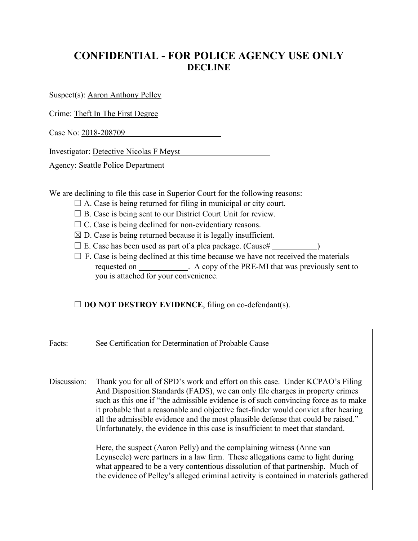## **CONFIDENTIAL - FOR POLICE AGENCY USE ONLY DECLINE**

Suspect(s): Aaron Anthony Pelley

Crime: Theft In The First Degree

Case No: 2018-208709

Investigator: Detective Nicolas F Meyst

Agency: Seattle Police Department

We are declining to file this case in Superior Court for the following reasons:

- $\Box$  A. Case is being returned for filing in municipal or city court.
- □ B. Case is being sent to our District Court Unit for review.
- $\Box$  C. Case is being declined for non-evidentiary reasons.
- $\boxtimes$  D. Case is being returned because it is legally insufficient.
- $\Box$  E. Case has been used as part of a plea package. (Cause# $\Box$ )
- $\Box$  F. Case is being declined at this time because we have not received the materials requested on  $\blacksquare$  A copy of the PRE-MI that was previously sent to you is attached for your convenience.

## □ **DO NOT DESTROY EVIDENCE**, filing on co-defendant(s).

| Facts:      | See Certification for Determination of Probable Cause                                                                                                                                                                                                                                                                                                                                                                                                                                                                                                                                                                                                                                                                                                                                                                                                       |
|-------------|-------------------------------------------------------------------------------------------------------------------------------------------------------------------------------------------------------------------------------------------------------------------------------------------------------------------------------------------------------------------------------------------------------------------------------------------------------------------------------------------------------------------------------------------------------------------------------------------------------------------------------------------------------------------------------------------------------------------------------------------------------------------------------------------------------------------------------------------------------------|
| Discussion: | Thank you for all of SPD's work and effort on this case. Under KCPAO's Filing<br>And Disposition Standards (FADS), we can only file charges in property crimes<br>such as this one if "the admissible evidence is of such convincing force as to make<br>it probable that a reasonable and objective fact-finder would convict after hearing<br>all the admissible evidence and the most plausible defense that could be raised."<br>Unfortunately, the evidence in this case is insufficient to meet that standard.<br>Here, the suspect (Aaron Pelly) and the complaining witness (Anne van<br>Leynseele) were partners in a law firm. These allegations came to light during<br>what appeared to be a very contentious dissolution of that partnership. Much of<br>the evidence of Pelley's alleged criminal activity is contained in materials gathered |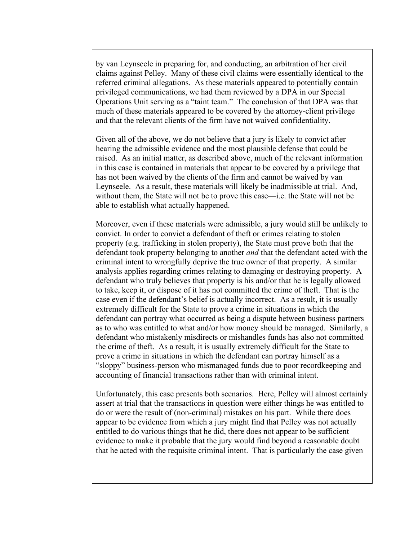by van Leynseele in preparing for, and conducting, an arbitration of her civil claims against Pelley. Many of these civil claims were essentially identical to the referred criminal allegations. As these materials appeared to potentially contain privileged communications, we had them reviewed by a DPA in our Special Operations Unit serving as a "taint team." The conclusion of that DPA was that much of these materials appeared to be covered by the attorney-client privilege and that the relevant clients of the firm have not waived confidentiality.

Given all of the above, we do not believe that a jury is likely to convict after hearing the admissible evidence and the most plausible defense that could be raised. As an initial matter, as described above, much of the relevant information in this case is contained in materials that appear to be covered by a privilege that has not been waived by the clients of the firm and cannot be waived by van Leynseele. As a result, these materials will likely be inadmissible at trial. And, without them, the State will not be to prove this case—i.e. the State will not be able to establish what actually happened.

Moreover, even if these materials were admissible, a jury would still be unlikely to convict. In order to convict a defendant of theft or crimes relating to stolen property (e.g. trafficking in stolen property), the State must prove both that the defendant took property belonging to another *and* that the defendant acted with the criminal intent to wrongfully deprive the true owner of that property. A similar analysis applies regarding crimes relating to damaging or destroying property. A defendant who truly believes that property is his and/or that he is legally allowed to take, keep it, or dispose of it has not committed the crime of theft. That is the case even if the defendant's belief is actually incorrect. As a result, it is usually extremely difficult for the State to prove a crime in situations in which the defendant can portray what occurred as being a dispute between business partners as to who was entitled to what and/or how money should be managed. Similarly, a defendant who mistakenly misdirects or mishandles funds has also not committed the crime of theft. As a result, it is usually extremely difficult for the State to prove a crime in situations in which the defendant can portray himself as a "sloppy" business-person who mismanaged funds due to poor recordkeeping and accounting of financial transactions rather than with criminal intent.

Unfortunately, this case presents both scenarios. Here, Pelley will almost certainly assert at trial that the transactions in question were either things he was entitled to do or were the result of (non-criminal) mistakes on his part. While there does appear to be evidence from which a jury might find that Pelley was not actually entitled to do various things that he did, there does not appear to be sufficient evidence to make it probable that the jury would find beyond a reasonable doubt that he acted with the requisite criminal intent. That is particularly the case given